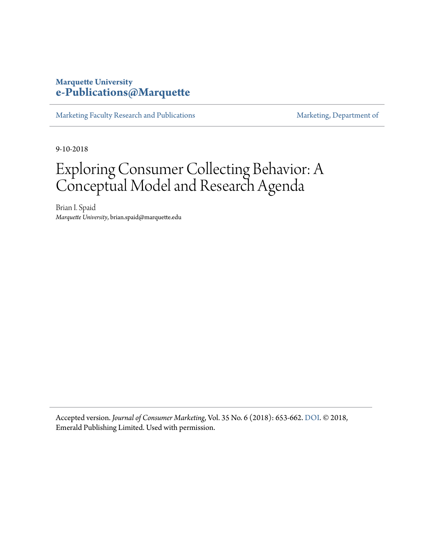# **Marquette University [e-Publications@Marquette](https://epublications.marquette.edu/)**

[Marketing Faculty Research and Publications](https://epublications.marquette.edu/market_fac) [Marketing, Department of](https://epublications.marquette.edu/market)

9-10-2018

# Exploring Consumer Collecting Behavior: A Conceptual Model and Research Agenda

Brian I. Spaid *Marquette University*, brian.spaid@marquette.edu

Accepted version. *Journal of Consumer Marketing*, Vol. 35 No. 6 (2018): 653-662. [DOI.](https://doi.org/10.1108/JCM-05-2017-2224) © 2018, Emerald Publishing Limited. Used with permission.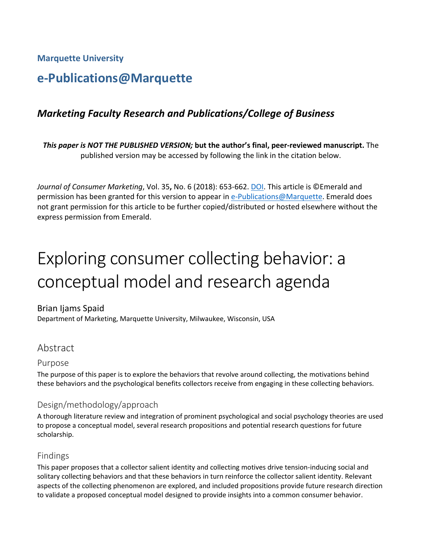**Marquette University**

# **e-Publications@Marquette**

# *Marketing Faculty Research and Publications/College of Business*

*This paper is NOT THE PUBLISHED VERSION;* **but the author's final, peer-reviewed manuscript.** The published version may be accessed by following the link in the citation below.

*Journal of Consumer Marketing*, Vol. 35**,** No. 6 (2018): 653-662. DOI. This article is ©Emerald and permission has been granted for this version to appear in [e-Publications@Marquette.](http://epublications.marquette.edu/) Emerald does not grant permission for this article to be further copied/distributed or hosted elsewhere without the express permission from Emerald.

# Exploring consumer collecting behavior: a conceptual model and research agenda

Brian Ijams Spaid

Department of Marketing, Marquette University, Milwaukee, Wisconsin, USA

# Abstract

#### Purpose

The purpose of this paper is to explore the behaviors that revolve around collecting, the motivations behind these behaviors and the psychological benefits collectors receive from engaging in these collecting behaviors.

### Design/methodology/approach

A thorough literature review and integration of prominent psychological and social psychology theories are used to propose a conceptual model, several research propositions and potential research questions for future scholarship.

#### Findings

This paper proposes that a collector salient identity and collecting motives drive tension-inducing social and solitary collecting behaviors and that these behaviors in turn reinforce the collector salient identity. Relevant aspects of the collecting phenomenon are explored, and included propositions provide future research direction to validate a proposed conceptual model designed to provide insights into a common consumer behavior.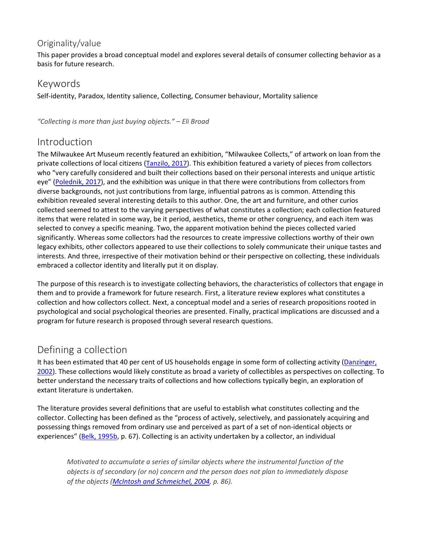## Originality/value

This paper provides a broad conceptual model and explores several details of consumer collecting behavior as a basis for future research.

## Keywords

Self-identity, Paradox, Identity salience, Collecting, Consumer behaviour, Mortality salience

*"Collecting is more than just buying objects." – Eli Broad*

# Introduction

The Milwaukee Art Museum recently featured an exhibition, "Milwaukee Collects," of artwork on loan from the private collections of local citizens [\(Tanzilo, 2017\)](https://www.emerald.com/insight/content/doi/10.1108/JCM-05-2017-2224/full/html#ref052). This exhibition featured a variety of pieces from collectors who "very carefully considered and built their collections based on their personal interests and unique artistic eye" [\(Polednik, 2017\)](https://www.emerald.com/insight/content/doi/10.1108/JCM-05-2017-2224/full/html#ref039), and the exhibition was unique in that there were contributions from collectors from diverse backgrounds, not just contributions from large, influential patrons as is common. Attending this exhibition revealed several interesting details to this author. One, the art and furniture, and other curios collected seemed to attest to the varying perspectives of what constitutes a collection; each collection featured items that were related in some way, be it period, aesthetics, theme or other congruency, and each item was selected to convey a specific meaning. Two, the apparent motivation behind the pieces collected varied significantly. Whereas some collectors had the resources to create impressive collections worthy of their own legacy exhibits, other collectors appeared to use their collections to solely communicate their unique tastes and interests. And three, irrespective of their motivation behind or their perspective on collecting, these individuals embraced a collector identity and literally put it on display.

The purpose of this research is to investigate collecting behaviors, the characteristics of collectors that engage in them and to provide a framework for future research. First, a literature review explores what constitutes a collection and how collectors collect. Next, a conceptual model and a series of research propositions rooted in psychological and social psychological theories are presented. Finally, practical implications are discussed and a program for future research is proposed through several research questions.

# Defining a collection

It has been estimated that 40 per cent of US households engage in some form of collecting activity [\(Danzinger,](https://www.emerald.com/insight/content/doi/10.1108/JCM-05-2017-2224/full/html#ref017)  [2002\)](https://www.emerald.com/insight/content/doi/10.1108/JCM-05-2017-2224/full/html#ref017). These collections would likely constitute as broad a variety of collectibles as perspectives on collecting. To better understand the necessary traits of collections and how collections typically begin, an exploration of extant literature is undertaken.

The literature provides several definitions that are useful to establish what constitutes collecting and the collector. Collecting has been defined as the "process of actively, selectively, and passionately acquiring and possessing things removed from ordinary use and perceived as part of a set of non-identical objects or experiences" [\(Belk, 1995b,](https://www.emerald.com/insight/content/doi/10.1108/JCM-05-2017-2224/full/html#ref009) p. 67). Collecting is an activity undertaken by a collector, an individual

*Motivated to accumulate a series of similar objects where the instrumental function of the objects is of secondary (or no) concern and the person does not plan to immediately dispose of the objects [\(McIntosh and Schmeichel, 2004,](https://www.emerald.com/insight/content/doi/10.1108/JCM-05-2017-2224/full/html#ref033) p. 86).*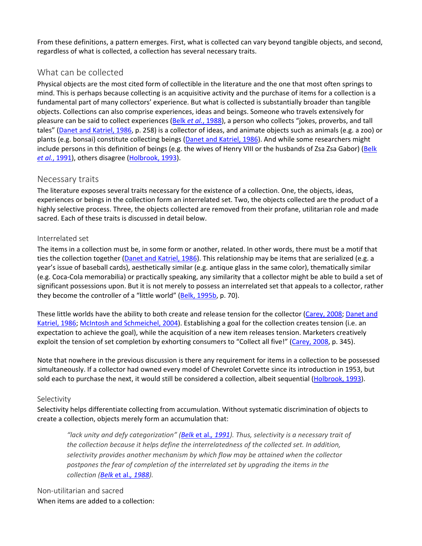From these definitions, a pattern emerges. First, what is collected can vary beyond tangible objects, and second, regardless of what is collected, a collection has several necessary traits.

#### What can be collected

Physical objects are the most cited form of collectible in the literature and the one that most often springs to mind. This is perhaps because collecting is an acquisitive activity and the purchase of items for a collection is a fundamental part of many collectors' experience. But what is collected is substantially broader than tangible objects. Collections can also comprise experiences, ideas and beings. Someone who travels extensively for pleasure can be said to collect experiences (Belk *et al.*[, 1988\)](https://www.emerald.com/insight/content/doi/10.1108/JCM-05-2017-2224/full/html#ref013), a person who collects "jokes, proverbs, and tall tales" [\(Danet and Katriel, 1986,](https://www.emerald.com/insight/content/doi/10.1108/JCM-05-2017-2224/full/html#ref015) p. 258) is a collector of ideas, and animate objects such as animals (e.g. a zoo) or plants (e.g. bonsai) constitute collecting beings [\(Danet and Katriel, 1986\)](https://www.emerald.com/insight/content/doi/10.1108/JCM-05-2017-2224/full/html#ref015). And while some researchers might include persons in this definition of beings (e.g. the wives of Henry VIII or the husbands of Zsa Zsa Gabor) (Belk *et al.*[, 1991\)](https://www.emerald.com/insight/content/doi/10.1108/JCM-05-2017-2224/full/html#ref012), others disagree [\(Holbrook, 1993\)](https://www.emerald.com/insight/content/doi/10.1108/JCM-05-2017-2224/full/html#ref026).

#### Necessary traits

The literature exposes several traits necessary for the existence of a collection. One, the objects, ideas, experiences or beings in the collection form an interrelated set. Two, the objects collected are the product of a highly selective process. Three, the objects collected are removed from their profane, utilitarian role and made sacred. Each of these traits is discussed in detail below.

#### Interrelated set

The items in a collection must be, in some form or another, related. In other words, there must be a motif that ties the collection together [\(Danet and Katriel, 1986\)](https://www.emerald.com/insight/content/doi/10.1108/JCM-05-2017-2224/full/html#ref015). This relationship may be items that are serialized (e.g. a year's issue of baseball cards), aesthetically similar (e.g. antique glass in the same color), thematically similar (e.g. Coca-Cola memorabilia) or practically speaking, any similarity that a collector might be able to build a set of significant possessions upon. But it is not merely to possess an interrelated set that appeals to a collector, rather they become the controller of a "little world" [\(Belk, 1995b,](https://www.emerald.com/insight/content/doi/10.1108/JCM-05-2017-2224/full/html#ref009) p. 70).

These little worlds have the ability to both create and release tension for the collector [\(Carey, 2008;](https://www.emerald.com/insight/content/doi/10.1108/JCM-05-2017-2224/full/html#ref014) Danet and [Katriel, 1986;](https://www.emerald.com/insight/content/doi/10.1108/JCM-05-2017-2224/full/html#ref015) [McIntosh and Schmeichel, 2004\)](https://www.emerald.com/insight/content/doi/10.1108/JCM-05-2017-2224/full/html#ref033). Establishing a goal for the collection creates tension (i.e. an expectation to achieve the goal), while the acquisition of a new item releases tension. Marketers creatively exploit the tension of set completion by exhorting consumers to "Collect all five!" [\(Carey, 2008,](https://www.emerald.com/insight/content/doi/10.1108/JCM-05-2017-2224/full/html#ref014) p. 345).

Note that nowhere in the previous discussion is there any requirement for items in a collection to be possessed simultaneously. If a collector had owned every model of Chevrolet Corvette since its introduction in 1953, but sold each to purchase the next, it would still be considered a collection, albeit sequential [\(Holbrook, 1993\)](https://www.emerald.com/insight/content/doi/10.1108/JCM-05-2017-2224/full/html#ref026).

#### Selectivity

Selectivity helps differentiate collecting from accumulation. Without systematic discrimination of objects to create a collection, objects merely form an accumulation that:

*"lack unity and defy categorization" (Belk* et al.*[, 1991\)](https://www.emerald.com/insight/content/doi/10.1108/JCM-05-2017-2224/full/html#ref012). Thus, selectivity is a necessary trait of the collection because it helps define the interrelatedness of the collected set. In addition, selectivity provides another mechanism by which flow may be attained when the collector postpones the fear of completion of the interrelated set by upgrading the items in the collection (Belk* et al.*[, 1988\)](https://www.emerald.com/insight/content/doi/10.1108/JCM-05-2017-2224/full/html#ref013).*

Non-utilitarian and sacred When items are added to a collection: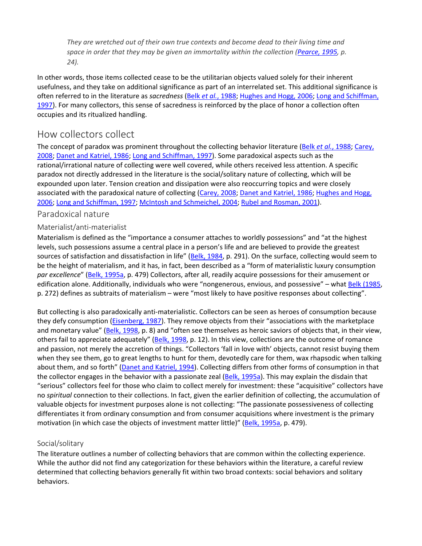*They are wretched out of their own true contexts and become dead to their living time and space in order that they may be given an immortality within the collection [\(Pearce, 1995,](https://www.emerald.com/insight/content/doi/10.1108/JCM-05-2017-2224/full/html#ref038) p. 24).*

In other words, those items collected cease to be the utilitarian objects valued solely for their inherent usefulness, and they take on additional significance as part of an interrelated set. This additional significance is often referred to in the literature as *sacredness* (Belk *et al.*[, 1988;](https://www.emerald.com/insight/content/doi/10.1108/JCM-05-2017-2224/full/html#ref013) [Hughes and Hogg, 2006;](https://www.emerald.com/insight/content/doi/10.1108/JCM-05-2017-2224/full/html#ref028) [Long and Schiffman,](https://www.emerald.com/insight/content/doi/10.1108/JCM-05-2017-2224/full/html#ref031)  [1997\)](https://www.emerald.com/insight/content/doi/10.1108/JCM-05-2017-2224/full/html#ref031). For many collectors, this sense of sacredness is reinforced by the place of honor a collection often occupies and its ritualized handling.

# How collectors collect

The concept of paradox was prominent throughout the collecting behavior literature (Belk *et al.*[, 1988;](https://www.emerald.com/insight/content/doi/10.1108/JCM-05-2017-2224/full/html#ref013) [Carey,](https://www.emerald.com/insight/content/doi/10.1108/JCM-05-2017-2224/full/html#ref014)  [2008;](https://www.emerald.com/insight/content/doi/10.1108/JCM-05-2017-2224/full/html#ref014) [Danet and Katriel, 1986;](https://www.emerald.com/insight/content/doi/10.1108/JCM-05-2017-2224/full/html#ref015) [Long and Schiffman, 1997\)](https://www.emerald.com/insight/content/doi/10.1108/JCM-05-2017-2224/full/html#ref031). Some paradoxical aspects such as the rational/irrational nature of collecting were well covered, while others received less attention. A specific paradox not directly addressed in the literature is the social/solitary nature of collecting, which will be expounded upon later. Tension creation and dissipation were also reoccurring topics and were closely associated with the paradoxical nature of collecting [\(Carey, 2008;](https://www.emerald.com/insight/content/doi/10.1108/JCM-05-2017-2224/full/html#ref014) [Danet and Katriel, 1986;](https://www.emerald.com/insight/content/doi/10.1108/JCM-05-2017-2224/full/html#ref015) Hughes and Hogg, [2006;](https://www.emerald.com/insight/content/doi/10.1108/JCM-05-2017-2224/full/html#ref028) [Long and Schiffman, 1997;](https://www.emerald.com/insight/content/doi/10.1108/JCM-05-2017-2224/full/html#ref031) [McIntosh and Schmeichel, 2004;](https://www.emerald.com/insight/content/doi/10.1108/JCM-05-2017-2224/full/html#ref033) [Rubel and Rosman, 2001\)](https://www.emerald.com/insight/content/doi/10.1108/JCM-05-2017-2224/full/html#ref041).

#### Paradoxical nature

#### Materialist/anti-materialist

Materialism is defined as the "importance a consumer attaches to worldly possessions" and "at the highest levels, such possessions assume a central place in a person's life and are believed to provide the greatest sources of satisfaction and dissatisfaction in life" [\(Belk, 1984,](https://www.emerald.com/insight/content/doi/10.1108/JCM-05-2017-2224/full/html#ref011) p. 291). On the surface, collecting would seem to be the height of materialism, and it has, in fact, been described as a "form of materialistic luxury consumption *par excellence*" [\(Belk, 1995a,](https://www.emerald.com/insight/content/doi/10.1108/JCM-05-2017-2224/full/html#ref008) p. 479) Collectors, after all, readily acquire possessions for their amusement or edification alone. Additionally, individuals who were "nongenerous, envious, and possessive" – what [Belk \(1985,](https://www.emerald.com/insight/content/doi/10.1108/JCM-05-2017-2224/full/html#ref006) p. 272) defines as subtraits of materialism – were "most likely to have positive responses about collecting".

But collecting is also paradoxically anti-materialistic. Collectors can be seen as heroes of consumption because they defy consumption [\(Eisenberg, 1987\)](https://www.emerald.com/insight/content/doi/10.1108/JCM-05-2017-2224/full/html#ref018). They remove objects from their "associations with the marketplace and monetary value" [\(Belk, 1998,](https://www.emerald.com/insight/content/doi/10.1108/JCM-05-2017-2224/full/html#ref010) p. 8) and "often see themselves as heroic saviors of objects that, in their view, others fail to appreciate adequately" [\(Belk, 1998,](https://www.emerald.com/insight/content/doi/10.1108/JCM-05-2017-2224/full/html#ref010) p. 12). In this view, collections are the outcome of romance and passion, not merely the accretion of things. "Collectors 'fall in love with' objects, cannot resist buying them when they see them, go to great lengths to hunt for them, devotedly care for them, wax rhapsodic when talking about them, and so forth" [\(Danet and Katriel, 1994\)](https://www.emerald.com/insight/content/doi/10.1108/JCM-05-2017-2224/full/html#ref016). Collecting differs from other forms of consumption in that the collector engages in the behavior with a passionate zeal [\(Belk, 1995a\)](https://www.emerald.com/insight/content/doi/10.1108/JCM-05-2017-2224/full/html#ref008). This may explain the disdain that "serious" collectors feel for those who claim to collect merely for investment: these "acquisitive" collectors have no *spiritual* connection to their collections. In fact, given the earlier definition of collecting, the accumulation of valuable objects for investment purposes alone is not collecting: "The passionate possessiveness of collecting differentiates it from ordinary consumption and from consumer acquisitions where investment is the primary motivation (in which case the objects of investment matter little)" [\(Belk, 1995a,](https://www.emerald.com/insight/content/doi/10.1108/JCM-05-2017-2224/full/html#ref008) p. 479).

#### Social/solitary

The literature outlines a number of collecting behaviors that are common within the collecting experience. While the author did not find any categorization for these behaviors within the literature, a careful review determined that collecting behaviors generally fit within two broad contexts: social behaviors and solitary behaviors.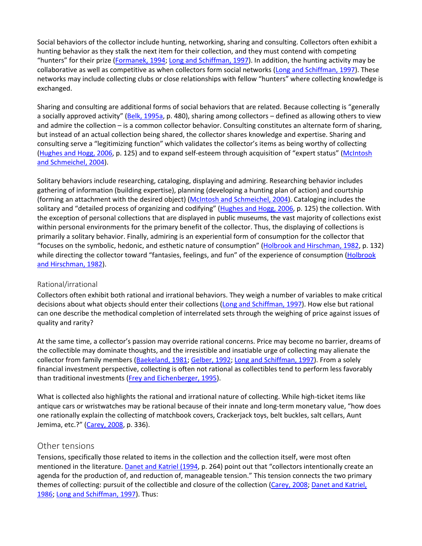Social behaviors of the collector include hunting, networking, sharing and consulting. Collectors often exhibit a hunting behavior as they stalk the next item for their collection, and they must contend with competing "hunters" for their prize [\(Formanek, 1994;](https://www.emerald.com/insight/content/doi/10.1108/JCM-05-2017-2224/full/html#ref020) [Long and Schiffman, 1997\)](https://www.emerald.com/insight/content/doi/10.1108/JCM-05-2017-2224/full/html#ref031). In addition, the hunting activity may be collaborative as well as competitive as when collectors form social networks [\(Long and Schiffman, 1997\)](https://www.emerald.com/insight/content/doi/10.1108/JCM-05-2017-2224/full/html#ref031). These networks may include collecting clubs or close relationships with fellow "hunters" where collecting knowledge is exchanged.

Sharing and consulting are additional forms of social behaviors that are related. Because collecting is "generally a socially approved activity" [\(Belk, 1995a,](https://www.emerald.com/insight/content/doi/10.1108/JCM-05-2017-2224/full/html#ref008) p. 480), sharing among collectors – defined as allowing others to view and admire the collection – is a common collector behavior. Consulting constitutes an alternate form of sharing, but instead of an actual collection being shared, the collector shares knowledge and expertise. Sharing and consulting serve a "legitimizing function" which validates the collector's items as being worthy of collecting [\(Hughes and Hogg, 2006,](https://www.emerald.com/insight/content/doi/10.1108/JCM-05-2017-2224/full/html#ref028) p. 125) and to expand self-esteem through acquisition of "expert status" [\(McIntosh](https://www.emerald.com/insight/content/doi/10.1108/JCM-05-2017-2224/full/html#ref033)  [and Schmeichel, 2004\)](https://www.emerald.com/insight/content/doi/10.1108/JCM-05-2017-2224/full/html#ref033).

Solitary behaviors include researching, cataloging, displaying and admiring. Researching behavior includes gathering of information (building expertise), planning (developing a hunting plan of action) and courtship (forming an attachment with the desired object) [\(McIntosh and Schmeichel, 2004\)](https://www.emerald.com/insight/content/doi/10.1108/JCM-05-2017-2224/full/html#ref033). Cataloging includes the solitary and "detailed process of organizing and codifying" [\(Hughes and Hogg, 2006,](https://www.emerald.com/insight/content/doi/10.1108/JCM-05-2017-2224/full/html#ref028) p. 125) the collection. With the exception of personal collections that are displayed in public museums, the vast majority of collections exist within personal environments for the primary benefit of the collector. Thus, the displaying of collections is primarily a solitary behavior. Finally, admiring is an experiential form of consumption for the collector that "focuses on the symbolic, hedonic, and esthetic nature of consumption" [\(Holbrook and Hirschman, 1982,](https://www.emerald.com/insight/content/doi/10.1108/JCM-05-2017-2224/full/html#ref027) p. 132) while directing the collector toward "fantasies, feelings, and fun" of the experience of consumption (Holbrook [and Hirschman, 1982\)](https://www.emerald.com/insight/content/doi/10.1108/JCM-05-2017-2224/full/html#ref027).

#### Rational/irrational

Collectors often exhibit both rational and irrational behaviors. They weigh a number of variables to make critical decisions about what objects should enter their collections [\(Long and Schiffman, 1997\)](https://www.emerald.com/insight/content/doi/10.1108/JCM-05-2017-2224/full/html#ref031). How else but rational can one describe the methodical completion of interrelated sets through the weighing of price against issues of quality and rarity?

At the same time, a collector's passion may override rational concerns. Price may become no barrier, dreams of the collectible may dominate thoughts, and the irresistible and insatiable urge of collecting may alienate the collector from family members [\(Baekeland, 1981;](https://www.emerald.com/insight/content/doi/10.1108/JCM-05-2017-2224/full/html#ref003) [Gelber, 1992;](https://www.emerald.com/insight/content/doi/10.1108/JCM-05-2017-2224/full/html#ref022) [Long and Schiffman, 1997\)](https://www.emerald.com/insight/content/doi/10.1108/JCM-05-2017-2224/full/html#ref031). From a solely financial investment perspective, collecting is often not rational as collectibles tend to perform less favorably than traditional investments [\(Frey and Eichenberger, 1995\)](https://www.emerald.com/insight/content/doi/10.1108/JCM-05-2017-2224/full/html#ref021).

What is collected also highlights the rational and irrational nature of collecting. While high-ticket items like antique cars or wristwatches may be rational because of their innate and long-term monetary value, "how does one rationally explain the collecting of matchbook covers, Crackerjack toys, belt buckles, salt cellars, Aunt Jemima, etc.?" [\(Carey, 2008,](https://www.emerald.com/insight/content/doi/10.1108/JCM-05-2017-2224/full/html#ref014) p. 336).

#### Other tensions

Tensions, specifically those related to items in the collection and the collection itself, were most often mentioned in the literature. [Danet and Katriel \(1994,](https://www.emerald.com/insight/content/doi/10.1108/JCM-05-2017-2224/full/html#ref016) p. 264) point out that "collectors intentionally create an agenda for the production of, and reduction of, manageable tension." This tension connects the two primary themes of collecting: pursuit of the collectible and closure of the collection [\(Carey, 2008;](https://www.emerald.com/insight/content/doi/10.1108/JCM-05-2017-2224/full/html#ref014) Danet and Katriel, [1986;](https://www.emerald.com/insight/content/doi/10.1108/JCM-05-2017-2224/full/html#ref015) [Long and Schiffman, 1997\)](https://www.emerald.com/insight/content/doi/10.1108/JCM-05-2017-2224/full/html#ref031). Thus: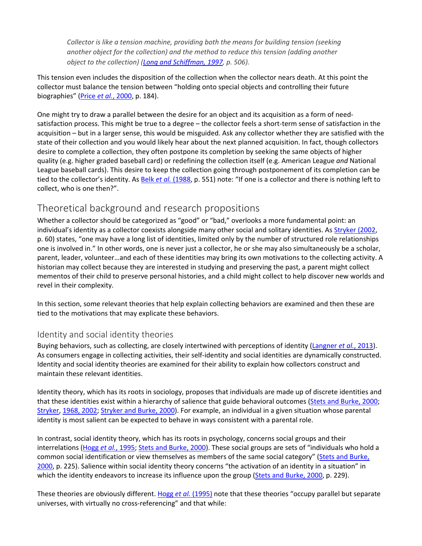*Collector is like a tension machine, providing both the means for building tension (seeking another object for the collection) and the method to reduce this tension (adding another object to the collection) [\(Long and Schiffman, 1997,](https://www.emerald.com/insight/content/doi/10.1108/JCM-05-2017-2224/full/html#ref031) p. 506).*

This tension even includes the disposition of the collection when the collector nears death. At this point the collector must balance the tension between "holding onto special objects and controlling their future biographies" (Price *et al.*[, 2000,](https://www.emerald.com/insight/content/doi/10.1108/JCM-05-2017-2224/full/html#ref040) p. 184).

One might try to draw a parallel between the desire for an object and its acquisition as a form of needsatisfaction process. This might be true to a degree – the collector feels a short-term sense of satisfaction in the acquisition – but in a larger sense, this would be misguided. Ask any collector whether they are satisfied with the state of their collection and you would likely hear about the next planned acquisition. In fact, though collectors desire to complete a collection, they often postpone its completion by seeking the same objects of higher quality (e.g. higher graded baseball card) or redefining the collection itself (e.g. American League *and* National League baseball cards). This desire to keep the collection going through postponement of its completion can be tied to the collector's identity. As **Belk et al.** [\(1988,](https://www.emerald.com/insight/content/doi/10.1108/JCM-05-2017-2224/full/html#ref013) p. 551) note: "If one is a collector and there is nothing left to collect, who is one then?".

# Theoretical background and research propositions

Whether a collector should be categorized as "good" or "bad," overlooks a more fundamental point: an individual's identity as a collector coexists alongside many other social and solitary identities. As [Stryker \(2002,](https://www.emerald.com/insight/content/doi/10.1108/JCM-05-2017-2224/full/html#ref049) p. 60) states, "one may have a long list of identities, limited only by the number of structured role relationships one is involved in." In other words, one is never just a collector, he or she may also simultaneously be a scholar, parent, leader, volunteer…and each of these identities may bring its own motivations to the collecting activity. A historian may collect because they are interested in studying and preserving the past, a parent might collect mementos of their child to preserve personal histories, and a child might collect to help discover new worlds and revel in their complexity.

In this section, some relevant theories that help explain collecting behaviors are examined and then these are tied to the motivations that may explicate these behaviors.

#### Identity and social identity theories

Buying behaviors, such as collecting, are closely intertwined with perceptions of identity [\(Langner](https://www.emerald.com/insight/content/doi/10.1108/JCM-05-2017-2224/full/html#ref030) *et al.*, 2013). As consumers engage in collecting activities, their self-identity and social identities are dynamically constructed. Identity and social identity theories are examined for their ability to explain how collectors construct and maintain these relevant identities.

Identity theory, which has its roots in sociology, proposes that individuals are made up of discrete identities and that these identities exist within a hierarchy of salience that guide behavioral outcomes [\(Stets and Burke, 2000;](https://www.emerald.com/insight/content/doi/10.1108/JCM-05-2017-2224/full/html#ref047) [Stryker,](https://www.emerald.com/insight/content/doi/10.1108/JCM-05-2017-2224/full/html#ref048) [1968, 2002;](https://www.emerald.com/insight/content/doi/10.1108/JCM-05-2017-2224/full/html#ref049) [Stryker and Burke, 2000\)](https://www.emerald.com/insight/content/doi/10.1108/JCM-05-2017-2224/full/html#ref050). For example, an individual in a given situation whose parental identity is most salient can be expected to behave in ways consistent with a parental role.

In contrast, social identity theory, which has its roots in psychology, concerns social groups and their interrelations (Hogg *et al.*[, 1995;](https://www.emerald.com/insight/content/doi/10.1108/JCM-05-2017-2224/full/html#ref025) [Stets and Burke, 2000\)](https://www.emerald.com/insight/content/doi/10.1108/JCM-05-2017-2224/full/html#ref047). These social groups are sets of "individuals who hold a common social identification or view themselves as members of the same social category" [\(Stets and Burke,](https://www.emerald.com/insight/content/doi/10.1108/JCM-05-2017-2224/full/html#ref047)  [2000,](https://www.emerald.com/insight/content/doi/10.1108/JCM-05-2017-2224/full/html#ref047) p. 225). Salience within social identity theory concerns "the activation of an identity in a situation" in which the identity endeavors to increase its influence upon the group [\(Stets and Burke, 2000,](https://www.emerald.com/insight/content/doi/10.1108/JCM-05-2017-2224/full/html#ref047) p. 229).

These theories are obviously different. Hogg *et al.* [\(1995\)](https://www.emerald.com/insight/content/doi/10.1108/JCM-05-2017-2224/full/html#ref025) note that these theories "occupy parallel but separate universes, with virtually no cross-referencing" and that while: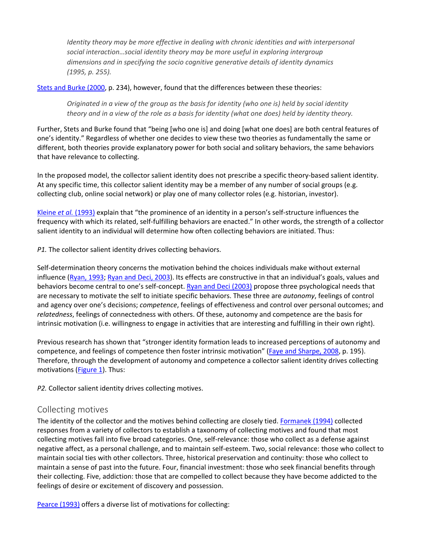*Identity theory may be more effective in dealing with chronic identities and with interpersonal social interaction…social identity theory may be more useful in exploring intergroup dimensions and in specifying the socio cognitive generative details of identity dynamics (1995, p. 255).*

[Stets and Burke \(2000,](https://www.emerald.com/insight/content/doi/10.1108/JCM-05-2017-2224/full/html#ref047) p. 234), however, found that the differences between these theories:

*Originated in a view of the group as the basis for identity (who one is) held by social identity theory and in a view of the role as a basis for identity (what one does) held by identity theory.*

Further, Stets and Burke found that "being [who one is] and doing [what one does] are both central features of one's identity." Regardless of whether one decides to view these two theories as fundamentally the same or different, both theories provide explanatory power for both social and solitary behaviors, the same behaviors that have relevance to collecting.

In the proposed model, the collector salient identity does not prescribe a specific theory-based salient identity. At any specific time, this collector salient identity may be a member of any number of social groups (e.g. collecting club, online social network) or play one of many collector roles (e.g. historian, investor).

[Kleine](https://www.emerald.com/insight/content/doi/10.1108/JCM-05-2017-2224/full/html#ref029) *et al.* (1993) explain that "the prominence of an identity in a person's self-structure influences the frequency with which its related, self-fulfilling behaviors are enacted." In other words, the strength of a collector salient identity to an individual will determine how often collecting behaviors are initiated. Thus:

*P1.* The collector salient identity drives collecting behaviors.

Self-determination theory concerns the motivation behind the choices individuals make without external influence [\(Ryan, 1993;](https://www.emerald.com/insight/content/doi/10.1108/JCM-05-2017-2224/full/html#ref042) [Ryan and Deci, 2003\)](https://www.emerald.com/insight/content/doi/10.1108/JCM-05-2017-2224/full/html#ref043). Its effects are constructive in that an individual's goals, values and behaviors become central to one's self-concept. [Ryan and Deci \(2003\)](https://www.emerald.com/insight/content/doi/10.1108/JCM-05-2017-2224/full/html#ref043) propose three psychological needs that are necessary to motivate the self to initiate specific behaviors. These three are *autonomy*, feelings of control and agency over one's decisions; *competence*, feelings of effectiveness and control over personal outcomes; and *relatedness*, feelings of connectedness with others. Of these, autonomy and competence are the basis for intrinsic motivation (i.e. willingness to engage in activities that are interesting and fulfilling in their own right).

Previous research has shown that "stronger identity formation leads to increased perceptions of autonomy and competence, and feelings of competence then foster intrinsic motivation" [\(Faye and Sharpe, 2008,](https://www.emerald.com/insight/content/doi/10.1108/JCM-05-2017-2224/full/html#ref019) p. 195). Therefore, through the development of autonomy and competence a collector salient identity drives collecting motivations ( $Figure 1$ ). Thus:

*P2.* Collector salient identity drives collecting motives.

#### Collecting motives

The identity of the collector and the motives behind collecting are closely tied. [Formanek \(1994\)](https://www.emerald.com/insight/content/doi/10.1108/JCM-05-2017-2224/full/html#ref020) collected responses from a variety of collectors to establish a taxonomy of collecting motives and found that most collecting motives fall into five broad categories. One, self-relevance: those who collect as a defense against negative affect, as a personal challenge, and to maintain self-esteem. Two, social relevance: those who collect to maintain social ties with other collectors. Three, historical preservation and continuity: those who collect to maintain a sense of past into the future. Four, financial investment: those who seek financial benefits through their collecting. Five, addiction: those that are compelled to collect because they have become addicted to the feelings of desire or excitement of discovery and possession.

[Pearce \(1993\)](https://www.emerald.com/insight/content/doi/10.1108/JCM-05-2017-2224/full/html#ref037) offers a diverse list of motivations for collecting: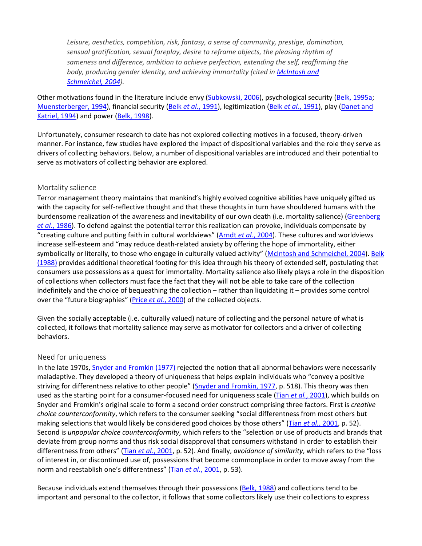*Leisure, aesthetics, competition, risk, fantasy, a sense of community, prestige, domination, sensual gratification, sexual foreplay, desire to reframe objects, the pleasing rhythm of sameness and difference, ambition to achieve perfection, extending the self, reaffirming the body, producing gender identity, and achieving immortality (cited in [McIntosh and](https://www.emerald.com/insight/content/doi/10.1108/JCM-05-2017-2224/full/html#ref033)  [Schmeichel, 2004\)](https://www.emerald.com/insight/content/doi/10.1108/JCM-05-2017-2224/full/html#ref033).*

Other motivations found in the literature include envy [\(Subkowski, 2006\)](https://www.emerald.com/insight/content/doi/10.1108/JCM-05-2017-2224/full/html#ref051), psychological security [\(Belk, 1995a;](https://www.emerald.com/insight/content/doi/10.1108/JCM-05-2017-2224/full/html#ref008) [Muensterberger, 1994\)](https://www.emerald.com/insight/content/doi/10.1108/JCM-05-2017-2224/full/html#ref035), financial security (Belk *et al.*[, 1991\)](https://www.emerald.com/insight/content/doi/10.1108/JCM-05-2017-2224/full/html#ref012), legitimization (Belk *et al.*[, 1991\)](https://www.emerald.com/insight/content/doi/10.1108/JCM-05-2017-2224/full/html#ref012), play [\(Danet and](https://www.emerald.com/insight/content/doi/10.1108/JCM-05-2017-2224/full/html#ref016)  [Katriel, 1994\)](https://www.emerald.com/insight/content/doi/10.1108/JCM-05-2017-2224/full/html#ref016) and power [\(Belk, 1998\)](https://www.emerald.com/insight/content/doi/10.1108/JCM-05-2017-2224/full/html#ref010).

Unfortunately, consumer research to date has not explored collecting motives in a focused, theory-driven manner. For instance, few studies have explored the impact of dispositional variables and the role they serve as drivers of collecting behaviors. Below, a number of dispositional variables are introduced and their potential to serve as motivators of collecting behavior are explored.

#### Mortality salience

Terror management theory maintains that mankind's highly evolved cognitive abilities have uniquely gifted us with the capacity for self-reflective thought and that these thoughts in turn have shouldered humans with the burdensome realization of the awareness and inevitability of our own death (i.e. mortality salience) [\(Greenberg](https://www.emerald.com/insight/content/doi/10.1108/JCM-05-2017-2224/full/html#ref023)  *et al.*[, 1986\)](https://www.emerald.com/insight/content/doi/10.1108/JCM-05-2017-2224/full/html#ref023). To defend against the potential terror this realization can provoke, individuals compensate by "creating culture and putting faith in cultural worldviews" [\(Arndt](https://www.emerald.com/insight/content/doi/10.1108/JCM-05-2017-2224/full/html#ref001) *et al.*, 2004). These cultures and worldviews increase self-esteem and "may reduce death-related anxiety by offering the hope of immortality, either symbolically or literally, to those who engage in culturally valued activity" [\(McIntosh and Schmeichel, 2004\)](https://www.emerald.com/insight/content/doi/10.1108/JCM-05-2017-2224/full/html#ref033). Belk [\(1988\)](https://www.emerald.com/insight/content/doi/10.1108/JCM-05-2017-2224/full/html#ref007) provides additional theoretical footing for this idea through his theory of extended self, postulating that consumers use possessions as a quest for immortality. Mortality salience also likely plays a role in the disposition of collections when collectors must face the fact that they will not be able to take care of the collection indefinitely and the choice of bequeathing the collection – rather than liquidating it – provides some control over the "future biographies" (Price *et al.*[, 2000\)](https://www.emerald.com/insight/content/doi/10.1108/JCM-05-2017-2224/full/html#ref040) of the collected objects.

Given the socially acceptable (i.e. culturally valued) nature of collecting and the personal nature of what is collected, it follows that mortality salience may serve as motivator for collectors and a driver of collecting behaviors.

#### Need for uniqueness

In the late 1970s, [Snyder and Fromkin \(1977\)](https://www.emerald.com/insight/content/doi/10.1108/JCM-05-2017-2224/full/html#ref046) rejected the notion that all abnormal behaviors were necessarily maladaptive. They developed a theory of uniqueness that helps explain individuals who "convey a positive striving for differentness relative to other people" [\(Snyder and Fromkin, 1977,](https://www.emerald.com/insight/content/doi/10.1108/JCM-05-2017-2224/full/html#ref046) p. 518). This theory was then used as the starting point for a consumer-focused need for uniqueness scale (Tian *et al.*[, 2001\)](https://www.emerald.com/insight/content/doi/10.1108/JCM-05-2017-2224/full/html#ref053), which builds on Snyder and Fromkin's original scale to form a second order construct comprising three factors. First is *creative choice counterconformity*, which refers to the consumer seeking "social differentness from most others but making selections that would likely be considered good choices by those others" (Tian *et al.*[, 2001,](https://www.emerald.com/insight/content/doi/10.1108/JCM-05-2017-2224/full/html#ref053) p. 52). Second is *unpopular choice counterconformity*, which refers to the "selection or use of products and brands that deviate from group norms and thus risk social disapproval that consumers withstand in order to establish their differentness from others" (Tian *et al.*[, 2001,](https://www.emerald.com/insight/content/doi/10.1108/JCM-05-2017-2224/full/html#ref053) p. 52). And finally, *avoidance of similarity*, which refers to the "loss of interest in, or discontinued use of, possessions that become commonplace in order to move away from the norm and reestablish one's differentness" (Tian *et al.*[, 2001,](https://www.emerald.com/insight/content/doi/10.1108/JCM-05-2017-2224/full/html#ref053) p. 53).

Because individuals extend themselves through their possessions [\(Belk, 1988\)](https://www.emerald.com/insight/content/doi/10.1108/JCM-05-2017-2224/full/html#ref007) and collections tend to be important and personal to the collector, it follows that some collectors likely use their collections to express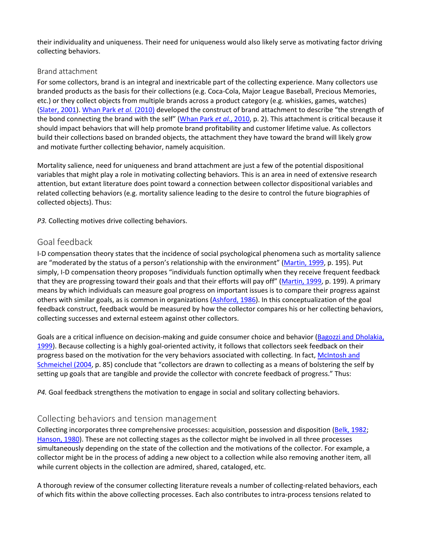their individuality and uniqueness. Their need for uniqueness would also likely serve as motivating factor driving collecting behaviors.

#### Brand attachment

For some collectors, brand is an integral and inextricable part of the collecting experience. Many collectors use branded products as the basis for their collections (e.g. Coca-Cola, Major League Baseball, Precious Memories, etc.) or they collect objects from multiple brands across a product category (e.g. whiskies, games, watches) [\(Slater, 2001\)](https://www.emerald.com/insight/content/doi/10.1108/JCM-05-2017-2224/full/html#ref045). [Whan Park](https://www.emerald.com/insight/content/doi/10.1108/JCM-05-2017-2224/full/html#ref054) *et al.* (2010) developed the construct of brand attachment to describe "the strength of the bond connecting the brand with the self" [\(Whan Park](https://www.emerald.com/insight/content/doi/10.1108/JCM-05-2017-2224/full/html#ref054) *et al.*, 2010, p. 2). This attachment is critical because it should impact behaviors that will help promote brand profitability and customer lifetime value. As collectors build their collections based on branded objects, the attachment they have toward the brand will likely grow and motivate further collecting behavior, namely acquisition.

Mortality salience, need for uniqueness and brand attachment are just a few of the potential dispositional variables that might play a role in motivating collecting behaviors. This is an area in need of extensive research attention, but extant literature does point toward a connection between collector dispositional variables and related collecting behaviors (e.g. mortality salience leading to the desire to control the future biographies of collected objects). Thus:

*P3.* Collecting motives drive collecting behaviors.

#### Goal feedback

I-D compensation theory states that the incidence of social psychological phenomena such as mortality salience are "moderated by the status of a person's relationship with the environment" [\(Martin, 1999,](https://www.emerald.com/insight/content/doi/10.1108/JCM-05-2017-2224/full/html#ref034) p. 195). Put simply, I-D compensation theory proposes "individuals function optimally when they receive frequent feedback that they are progressing toward their goals and that their efforts will pay off" [\(Martin, 1999,](https://www.emerald.com/insight/content/doi/10.1108/JCM-05-2017-2224/full/html#ref034) p. 199). A primary means by which individuals can measure goal progress on important issues is to compare their progress against others with similar goals, as is common in organizations [\(Ashford, 1986\)](https://www.emerald.com/insight/content/doi/10.1108/JCM-05-2017-2224/full/html#ref002). In this conceptualization of the goal feedback construct, feedback would be measured by how the collector compares his or her collecting behaviors, collecting successes and external esteem against other collectors.

Goals are a critical influence on decision-making and guide consumer choice and behavior [\(Bagozzi and Dholakia,](https://www.emerald.com/insight/content/doi/10.1108/JCM-05-2017-2224/full/html#ref004)  [1999\)](https://www.emerald.com/insight/content/doi/10.1108/JCM-05-2017-2224/full/html#ref004). Because collecting is a highly goal-oriented activity, it follows that collectors seek feedback on their progress based on the motivation for the very behaviors associated with collecting. In fact, McIntosh and [Schmeichel \(2004,](https://www.emerald.com/insight/content/doi/10.1108/JCM-05-2017-2224/full/html#ref033) p. 85) conclude that "collectors are drawn to collecting as a means of bolstering the self by setting up goals that are tangible and provide the collector with concrete feedback of progress." Thus:

*P4.* Goal feedback strengthens the motivation to engage in social and solitary collecting behaviors.

#### Collecting behaviors and tension management

Collecting incorporates three comprehensive processes: acquisition, possession and disposition [\(Belk, 1982;](https://www.emerald.com/insight/content/doi/10.1108/JCM-05-2017-2224/full/html#ref005) [Hanson, 1980\)](https://www.emerald.com/insight/content/doi/10.1108/JCM-05-2017-2224/full/html#ref024). These are not collecting stages as the collector might be involved in all three processes simultaneously depending on the state of the collection and the motivations of the collector. For example, a collector might be in the process of adding a new object to a collection while also removing another item, all while current objects in the collection are admired, shared, cataloged, etc.

A thorough review of the consumer collecting literature reveals a number of collecting-related behaviors, each of which fits within the above collecting processes. Each also contributes to intra-process tensions related to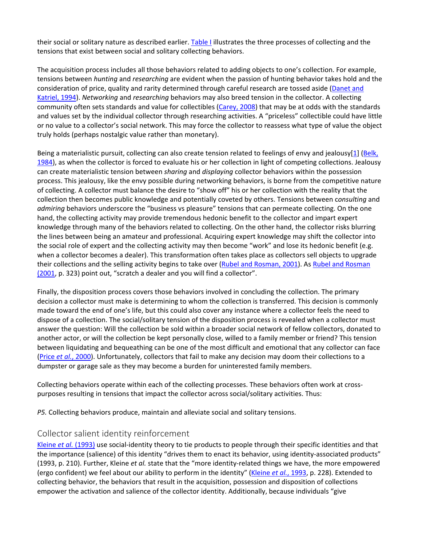their social or solitary nature as described earlier. [Table I](https://www.emerald.com/insight/content/doi/10.1108/JCM-05-2017-2224/full/html#tbl1) illustrates the three processes of collecting and the tensions that exist between social and solitary collecting behaviors.

The acquisition process includes all those behaviors related to adding objects to one's collection. For example, tensions between *hunting* and *researching* are evident when the passion of hunting behavior takes hold and the consideration of price, quality and rarity determined through careful research are tossed aside [\(Danet and](https://www.emerald.com/insight/content/doi/10.1108/JCM-05-2017-2224/full/html#ref016)  [Katriel, 1994\)](https://www.emerald.com/insight/content/doi/10.1108/JCM-05-2017-2224/full/html#ref016). *Networking* and *researching* behaviors may also breed tension in the collector. A collecting community often sets standards and value for collectibles [\(Carey, 2008\)](https://www.emerald.com/insight/content/doi/10.1108/JCM-05-2017-2224/full/html#ref014) that may be at odds with the standards and values set by the individual collector through researching activities. A "priceless" collectible could have little or no value to a collector's social network. This may force the collector to reassess what type of value the object truly holds (perhaps nostalgic value rather than monetary).

Being a materialistic pursuit, collecting can also create tension related to feelings of envy and jealousy[\[1\]](https://www.emerald.com/insight/content/doi/10.1108/JCM-05-2017-2224/full/html#fn001) (Belk, [1984\)](https://www.emerald.com/insight/content/doi/10.1108/JCM-05-2017-2224/full/html#ref011), as when the collector is forced to evaluate his or her collection in light of competing collections. Jealousy can create materialistic tension between *sharing* and *displaying* collector behaviors within the possession process. This jealousy, like the envy possible during networking behaviors, is borne from the competitive nature of collecting. A collector must balance the desire to "show off" his or her collection with the reality that the collection then becomes public knowledge and potentially coveted by others. Tensions between c*onsulting* and *admiring* behaviors underscore the "business vs pleasure" tensions that can permeate collecting. On the one hand, the collecting activity may provide tremendous hedonic benefit to the collector and impart expert knowledge through many of the behaviors related to collecting. On the other hand, the collector risks blurring the lines between being an amateur and professional. Acquiring expert knowledge may shift the collector into the social role of expert and the collecting activity may then become "work" and lose its hedonic benefit (e.g. when a collector becomes a dealer). This transformation often takes place as collectors sell objects to upgrade their collections and the selling activity begins to take over [\(Rubel and Rosman, 2001\)](https://www.emerald.com/insight/content/doi/10.1108/JCM-05-2017-2224/full/html#ref041). As Rubel and Rosman [\(2001,](https://www.emerald.com/insight/content/doi/10.1108/JCM-05-2017-2224/full/html#ref041) p. 323) point out, "scratch a dealer and you will find a collector".

Finally, the disposition process covers those behaviors involved in concluding the collection. The primary decision a collector must make is determining to whom the collection is transferred. This decision is commonly made toward the end of one's life, but this could also cover any instance where a collector feels the need to dispose of a collection. The social/solitary tension of the disposition process is revealed when a collector must answer the question: Will the collection be sold within a broader social network of fellow collectors, donated to another actor, or will the collection be kept personally close, willed to a family member or friend? This tension between liquidating and bequeathing can be one of the most difficult and emotional that any collector can face (Price *et al.*[, 2000\)](https://www.emerald.com/insight/content/doi/10.1108/JCM-05-2017-2224/full/html#ref040). Unfortunately, collectors that fail to make any decision may doom their collections to a dumpster or garage sale as they may become a burden for uninterested family members.

Collecting behaviors operate within each of the collecting processes. These behaviors often work at crosspurposes resulting in tensions that impact the collector across social/solitary activities. Thus:

*P5.* Collecting behaviors produce, maintain and alleviate social and solitary tensions.

#### Collector salient identity reinforcement

[Kleine](https://www.emerald.com/insight/content/doi/10.1108/JCM-05-2017-2224/full/html#ref029) *et al.* (1993) use social-identity theory to tie products to people through their specific identities and that the importance (salience) of this identity "drives them to enact its behavior, using identity-associated products" (1993, p. 210). Further, Kleine *et al.* state that the "more identity-related things we have, the more empowered (ergo confident) we feel about our ability to perform in the identity" [\(Kleine](https://www.emerald.com/insight/content/doi/10.1108/JCM-05-2017-2224/full/html#ref029) *et al.*, 1993, p. 228). Extended to collecting behavior, the behaviors that result in the acquisition, possession and disposition of collections empower the activation and salience of the collector identity. Additionally, because individuals "give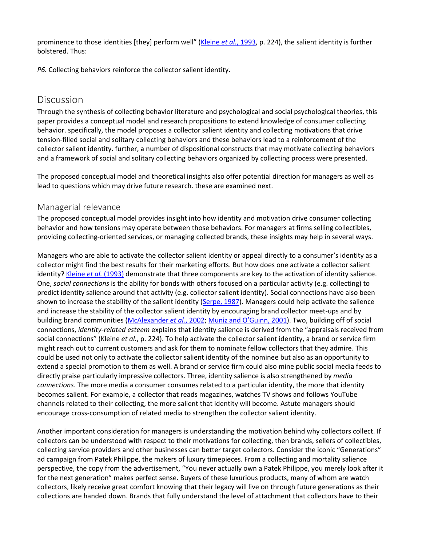prominence to those identities [they] perform well" [\(Kleine](https://www.emerald.com/insight/content/doi/10.1108/JCM-05-2017-2224/full/html#ref029) *et al.*, 1993, p. 224), the salient identity is further bolstered. Thus:

*P6.* Collecting behaviors reinforce the collector salient identity.

# Discussion

Through the synthesis of collecting behavior literature and psychological and social psychological theories, this paper provides a conceptual model and research propositions to extend knowledge of consumer collecting behavior. specifically, the model proposes a collector salient identity and collecting motivations that drive tension-filled social and solitary collecting behaviors and these behaviors lead to a reinforcement of the collector salient identity. further, a number of dispositional constructs that may motivate collecting behaviors and a framework of social and solitary collecting behaviors organized by collecting process were presented.

The proposed conceptual model and theoretical insights also offer potential direction for managers as well as lead to questions which may drive future research. these are examined next.

#### Managerial relevance

The proposed conceptual model provides insight into how identity and motivation drive consumer collecting behavior and how tensions may operate between those behaviors. For managers at firms selling collectibles, providing collecting-oriented services, or managing collected brands, these insights may help in several ways.

Managers who are able to activate the collector salient identity or appeal directly to a consumer's identity as a collector might find the best results for their marketing efforts. But how does one activate a collector salient identity? [Kleine](https://www.emerald.com/insight/content/doi/10.1108/JCM-05-2017-2224/full/html#ref029) *et al.* (1993) demonstrate that three components are key to the activation of identity salience. One, *social connections* is the ability for bonds with others focused on a particular activity (e.g. collecting) to predict identity salience around that activity (e.g. collector salient identity). Social connections have also been shown to increase the stability of the salient identity [\(Serpe, 1987\)](https://www.emerald.com/insight/content/doi/10.1108/JCM-05-2017-2224/full/html#ref044). Managers could help activate the salience and increase the stability of the collector salient identity by encouraging brand collector meet-ups and by building brand communities [\(McAlexander](https://www.emerald.com/insight/content/doi/10.1108/JCM-05-2017-2224/full/html#ref032) *et al.*, 2002; [Muniz and O'Guinn, 2001\)](https://www.emerald.com/insight/content/doi/10.1108/JCM-05-2017-2224/full/html#ref036). Two, building off of social connections, *identity-related esteem* explains that identity salience is derived from the "appraisals received from social connections" (Kleine *et al.*, p. 224). To help activate the collector salient identity, a brand or service firm might reach out to current customers and ask for them to nominate fellow collectors that they admire. This could be used not only to activate the collector salient identity of the nominee but also as an opportunity to extend a special promotion to them as well. A brand or service firm could also mine public social media feeds to directly praise particularly impressive collectors. Three, identity salience is also strengthened by *media connections*. The more media a consumer consumes related to a particular identity, the more that identity becomes salient. For example, a collector that reads magazines, watches TV shows and follows YouTube channels related to their collecting, the more salient that identity will become. Astute managers should encourage cross-consumption of related media to strengthen the collector salient identity.

Another important consideration for managers is understanding the motivation behind why collectors collect. If collectors can be understood with respect to their motivations for collecting, then brands, sellers of collectibles, collecting service providers and other businesses can better target collectors. Consider the iconic "Generations" ad campaign from Patek Philippe, the makers of luxury timepieces. From a collecting and mortality salience perspective, the copy from the advertisement, "You never actually own a Patek Philippe, you merely look after it for the next generation" makes perfect sense. Buyers of these luxurious products, many of whom are watch collectors, likely receive great comfort knowing that their legacy will live on through future generations as their collections are handed down. Brands that fully understand the level of attachment that collectors have to their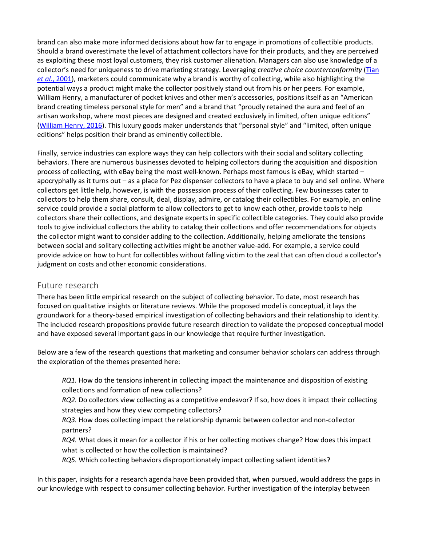brand can also make more informed decisions about how far to engage in promotions of collectible products. Should a brand overestimate the level of attachment collectors have for their products, and they are perceived as exploiting these most loyal customers, they risk customer alienation. Managers can also use knowledge of a collector's need for uniqueness to drive marketing strategy. Leveraging *creative choice counterconformity* [\(Tian](https://www.emerald.com/insight/content/doi/10.1108/JCM-05-2017-2224/full/html#ref053)  *et al.*[, 2001\)](https://www.emerald.com/insight/content/doi/10.1108/JCM-05-2017-2224/full/html#ref053), marketers could communicate why a brand is worthy of collecting, while also highlighting the potential ways a product might make the collector positively stand out from his or her peers. For example, William Henry, a manufacturer of pocket knives and other men's accessories, positions itself as an "American brand creating timeless personal style for men" and a brand that "proudly retained the aura and feel of an artisan workshop, where most pieces are designed and created exclusively in limited, often unique editions" [\(William Henry, 2016\)](https://www.emerald.com/insight/content/doi/10.1108/JCM-05-2017-2224/full/html#ref055). This luxury goods maker understands that "personal style" and "limited, often unique editions" helps position their brand as eminently collectible.

Finally, service industries can explore ways they can help collectors with their social and solitary collecting behaviors. There are numerous businesses devoted to helping collectors during the acquisition and disposition process of collecting, with eBay being the most well-known. Perhaps most famous is eBay, which started – apocryphally as it turns out – as a place for Pez dispenser collectors to have a place to buy and sell online. Where collectors get little help, however, is with the possession process of their collecting. Few businesses cater to collectors to help them share, consult, deal, display, admire, or catalog their collectibles. For example, an online service could provide a social platform to allow collectors to get to know each other, provide tools to help collectors share their collections, and designate experts in specific collectible categories. They could also provide tools to give individual collectors the ability to catalog their collections and offer recommendations for objects the collector might want to consider adding to the collection. Additionally, helping ameliorate the tensions between social and solitary collecting activities might be another value-add. For example, a service could provide advice on how to hunt for collectibles without falling victim to the zeal that can often cloud a collector's judgment on costs and other economic considerations.

#### Future research

There has been little empirical research on the subject of collecting behavior. To date, most research has focused on qualitative insights or literature reviews. While the proposed model is conceptual, it lays the groundwork for a theory-based empirical investigation of collecting behaviors and their relationship to identity. The included research propositions provide future research direction to validate the proposed conceptual model and have exposed several important gaps in our knowledge that require further investigation.

Below are a few of the research questions that marketing and consumer behavior scholars can address through the exploration of the themes presented here:

*RQ1.* How do the tensions inherent in collecting impact the maintenance and disposition of existing collections and formation of new collections?

*RQ2.* Do collectors view collecting as a competitive endeavor? If so, how does it impact their collecting strategies and how they view competing collectors?

*RQ3.* How does collecting impact the relationship dynamic between collector and non-collector partners?

*RQ4.* What does it mean for a collector if his or her collecting motives change? How does this impact what is collected or how the collection is maintained?

*RQ5.* Which collecting behaviors disproportionately impact collecting salient identities?

In this paper, insights for a research agenda have been provided that, when pursued, would address the gaps in our knowledge with respect to consumer collecting behavior. Further investigation of the interplay between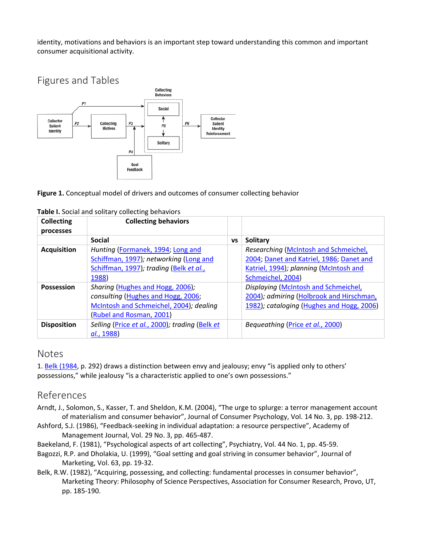identity, motivations and behaviors is an important step toward understanding this common and important consumer acquisitional activity.





**Figure 1.** Conceptual model of drivers and outcomes of consumer collecting behavior

| <b>Collecting</b><br>processes | <b>Collecting behaviors</b>                                                                                                                            |           |                                                                                                                                                    |
|--------------------------------|--------------------------------------------------------------------------------------------------------------------------------------------------------|-----------|----------------------------------------------------------------------------------------------------------------------------------------------------|
|                                | <b>Social</b>                                                                                                                                          | <b>VS</b> | Solitary                                                                                                                                           |
| <b>Acquisition</b>             | Hunting (Formanek, 1994; Long and<br>Schiffman, 1997); networking (Long and<br>Schiffman, 1997); trading (Belk et al.,                                 |           | Researching (McIntosh and Schmeichel,<br>2004; Danet and Katriel, 1986; Danet and<br>Katriel, 1994); planning (McIntosh and                        |
| <b>Possession</b>              | 1988)<br>Sharing (Hughes and Hogg, 2006);<br>consulting (Hughes and Hogg, 2006;<br>McIntosh and Schmeichel, 2004); dealing<br>(Rubel and Rosman, 2001) |           | Schmeichel, 2004)<br>Displaying (McIntosh and Schmeichel,<br>2004); admiring (Holbrook and Hirschman,<br>1982); cataloging (Hughes and Hogg, 2006) |
| <b>Disposition</b>             | Selling (Price et al., 2000); trading (Belk et<br>al., 1988)                                                                                           |           | Bequeathing (Price et al., 2000)                                                                                                                   |

**Table I.** Social and solitary collecting behaviors

### Notes

1. [Belk \(1984,](https://www.emerald.com/insight/content/doi/10.1108/JCM-05-2017-2224/full/html#ref011) p. 292) draws a distinction between envy and jealousy; envy "is applied only to others' possessions," while jealousy "is a characteristic applied to one's own possessions."

# References

- Arndt, J., Solomon, S., Kasser, T. and Sheldon, K.M. (2004), "The urge to splurge: a terror management account of materialism and consumer behavior", Journal of Consumer Psychology, Vol. 14 No. 3, pp. 198-212.
- Ashford, S.J. (1986), "Feedback-seeking in individual adaptation: a resource perspective", Academy of Management Journal, Vol. 29 No. 3, pp. 465-487.
- Baekeland, F. (1981), "Psychological aspects of art collecting", Psychiatry, Vol. 44 No. 1, pp. 45-59.
- Bagozzi, R.P. and Dholakia, U. (1999), "Goal setting and goal striving in consumer behavior", Journal of Marketing, Vol. 63, pp. 19-32.
- Belk, R.W. (1982), "Acquiring, possessing, and collecting: fundamental processes in consumer behavior", Marketing Theory: Philosophy of Science Perspectives, Association for Consumer Research, Provo, UT, pp. 185-190.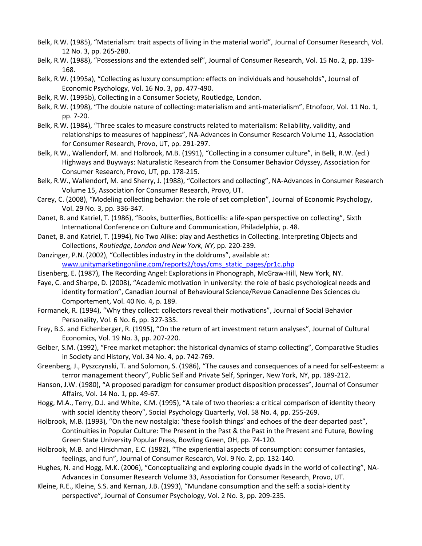- Belk, R.W. (1985), "Materialism: trait aspects of living in the material world", Journal of Consumer Research, Vol. 12 No. 3, pp. 265-280.
- Belk, R.W. (1988), "Possessions and the extended self", Journal of Consumer Research, Vol. 15 No. 2, pp. 139- 168.
- Belk, R.W. (1995a), "Collecting as luxury consumption: effects on individuals and households", Journal of Economic Psychology, Vol. 16 No. 3, pp. 477-490.
- Belk, R.W. (1995b), Collecting in a Consumer Society, Routledge, London.
- Belk, R.W. (1998), "The double nature of collecting: materialism and anti-materialism", Etnofoor, Vol. 11 No. 1, pp. 7-20.
- Belk, R.W. (1984), "Three scales to measure constructs related to materialism: Reliability, validity, and relationships to measures of happiness", NA-Advances in Consumer Research Volume 11, Association for Consumer Research, Provo, UT, pp. 291-297.
- Belk, R.W., Wallendorf, M. and Holbrook, M.B. (1991), "Collecting in a consumer culture", in Belk, R.W. (ed.) Highways and Buyways: Naturalistic Research from the Consumer Behavior Odyssey, Association for Consumer Research, Provo, UT, pp. 178-215.
- Belk, R.W., Wallendorf, M. and Sherry, J. (1988), "Collectors and collecting", NA-Advances in Consumer Research Volume 15, Association for Consumer Research, Provo, UT.
- Carey, C. (2008), "Modeling collecting behavior: the role of set completion", Journal of Economic Psychology, Vol. 29 No. 3, pp. 336-347.
- Danet, B. and Katriel, T. (1986), "Books, butterflies, Botticellis: a life-span perspective on collecting", Sixth International Conference on Culture and Communication, Philadelphia, p. 48.
- Danet, B. and Katriel, T. (1994), No Two Alike: play and Aesthetics in Collecting. Interpreting Objects and Collections, *Routledge*, *London and New York, NY*, pp. 220-239.
- Danzinger, P.N. (2002), "Collectibles industry in the doldrums", available at: [www.unitymarketingonline.com/reports2/toys/cms\\_static\\_pages/pr1c.php](http://www.unitymarketingonline.com/reports2/toys/cms_static_pages/pr1c.php)
- Eisenberg, E. (1987), The Recording Angel: Explorations in Phonograph, McGraw-Hill, New York, NY.
- Faye, C. and Sharpe, D. (2008), "Academic motivation in university: the role of basic psychological needs and identity formation", Canadian Journal of Behavioural Science/Revue Canadienne Des Sciences du Comportement, Vol. 40 No. 4, p. 189.
- Formanek, R. (1994), "Why they collect: collectors reveal their motivations", Journal of Social Behavior Personality, Vol. 6 No. 6, pp. 327-335.
- Frey, B.S. and Eichenberger, R. (1995), "On the return of art investment return analyses", Journal of Cultural Economics, Vol. 19 No. 3, pp. 207-220.
- Gelber, S.M. (1992), "Free market metaphor: the historical dynamics of stamp collecting", Comparative Studies in Society and History, Vol. 34 No. 4, pp. 742-769.
- Greenberg, J., Pyszczynski, T. and Solomon, S. (1986), "The causes and consequences of a need for self-esteem: a terror management theory", Public Self and Private Self, Springer, New York, NY, pp. 189-212.
- Hanson, J.W. (1980), "A proposed paradigm for consumer product disposition processes", Journal of Consumer Affairs, Vol. 14 No. 1, pp. 49-67.
- Hogg, M.A., Terry, D.J. and White, K.M. (1995), "A tale of two theories: a critical comparison of identity theory with social identity theory", Social Psychology Quarterly, Vol. 58 No. 4, pp. 255-269.
- Holbrook, M.B. (1993), "On the new nostalgia: 'these foolish things' and echoes of the dear departed past", Continuities in Popular Culture: The Present in the Past & the Past in the Present and Future, Bowling Green State University Popular Press, Bowling Green, OH, pp. 74-120.
- Holbrook, M.B. and Hirschman, E.C. (1982), "The experiential aspects of consumption: consumer fantasies, feelings, and fun", Journal of Consumer Research, Vol. 9 No. 2, pp. 132-140.
- Hughes, N. and Hogg, M.K. (2006), "Conceptualizing and exploring couple dyads in the world of collecting", NA-Advances in Consumer Research Volume 33, Association for Consumer Research, Provo, UT.
- Kleine, R.E., Kleine, S.S. and Kernan, J.B. (1993), "Mundane consumption and the self: a social-identity perspective", Journal of Consumer Psychology, Vol. 2 No. 3, pp. 209-235.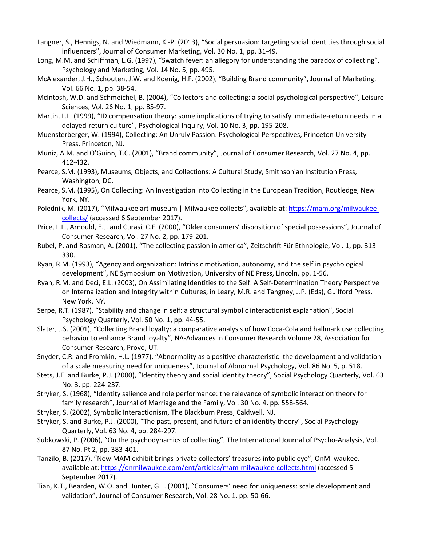- Langner, S., Hennigs, N. and Wiedmann, K.-P. (2013), "Social persuasion: targeting social identities through social influencers", Journal of Consumer Marketing, Vol. 30 No. 1, pp. 31-49.
- Long, M.M. and Schiffman, L.G. (1997), "Swatch fever: an allegory for understanding the paradox of collecting", Psychology and Marketing, Vol. 14 No. 5, pp. 495.
- McAlexander, J.H., Schouten, J.W. and Koenig, H.F. (2002), "Building Brand community", Journal of Marketing, Vol. 66 No. 1, pp. 38-54.
- McIntosh, W.D. and Schmeichel, B. (2004), "Collectors and collecting: a social psychological perspective", Leisure Sciences, Vol. 26 No. 1, pp. 85-97.
- Martin, L.L. (1999), "ID compensation theory: some implications of trying to satisfy immediate-return needs in a delayed-return culture", Psychological Inquiry, Vol. 10 No. 3, pp. 195-208.
- Muensterberger, W. (1994), Collecting: An Unruly Passion: Psychological Perspectives, Princeton University Press, Princeton, NJ.
- Muniz, A.M. and O'Guinn, T.C. (2001), "Brand community", Journal of Consumer Research, Vol. 27 No. 4, pp. 412-432.
- Pearce, S.M. (1993), Museums, Objects, and Collections: A Cultural Study, Smithsonian Institution Press, Washington, DC.
- Pearce, S.M. (1995), On Collecting: An Investigation into Collecting in the European Tradition, Routledge, New York, NY.
- Polednik, M. (2017), "Milwaukee art museum | Milwaukee collects", available at: [https://mam.org/milwaukee](https://mam.org/milwaukee-collects/)[collects/](https://mam.org/milwaukee-collects/) (accessed 6 September 2017).
- Price, L.L., Arnould, E.J. and Curasi, C.F. (2000), "Older consumers' disposition of special possessions", Journal of Consumer Research, Vol. 27 No. 2, pp. 179-201.
- Rubel, P. and Rosman, A. (2001), "The collecting passion in america", Zeitschrift Für Ethnologie, Vol. 1, pp. 313- 330.
- Ryan, R.M. (1993), "Agency and organization: Intrinsic motivation, autonomy, and the self in psychological development", NE Symposium on Motivation, University of NE Press, Lincoln, pp. 1-56.
- Ryan, R.M. and Deci, E.L. (2003), On Assimilating Identities to the Self: A Self-Determination Theory Perspective on Internalization and Integrity within Cultures, in Leary, M.R. and Tangney, J.P. (Eds), Guilford Press, New York, NY.
- Serpe, R.T. (1987), "Stability and change in self: a structural symbolic interactionist explanation", Social Psychology Quarterly, Vol. 50 No. 1, pp. 44-55.
- Slater, J.S. (2001), "Collecting Brand loyalty: a comparative analysis of how Coca-Cola and hallmark use collecting behavior to enhance Brand loyalty", NA-Advances in Consumer Research Volume 28, Association for Consumer Research, Provo, UT.
- Snyder, C.R. and Fromkin, H.L. (1977), "Abnormality as a positive characteristic: the development and validation of a scale measuring need for uniqueness", Journal of Abnormal Psychology, Vol. 86 No. 5, p. 518.
- Stets, J.E. and Burke, P.J. (2000), "Identity theory and social identity theory", Social Psychology Quarterly, Vol. 63 No. 3, pp. 224-237.
- Stryker, S. (1968), "Identity salience and role performance: the relevance of symbolic interaction theory for family research", Journal of Marriage and the Family, Vol. 30 No. 4, pp. 558-564.
- Stryker, S. (2002), Symbolic Interactionism, The Blackburn Press, Caldwell, NJ.
- Stryker, S. and Burke, P.J. (2000), "The past, present, and future of an identity theory", Social Psychology Quarterly, Vol. 63 No. 4, pp. 284-297.
- Subkowski, P. (2006), "On the psychodynamics of collecting", The International Journal of Psycho-Analysis, Vol. 87 No. Pt 2, pp. 383-401.
- Tanzilo, B. (2017), "New MAM exhibit brings private collectors' treasures into public eye", OnMilwaukee. available at[: https://onmilwaukee.com/ent/articles/mam-milwaukee-collects.html](https://onmilwaukee.com/ent/articles/mam-milwaukee-collects.html) (accessed 5 September 2017).
- Tian, K.T., Bearden, W.O. and Hunter, G.L. (2001), "Consumers' need for uniqueness: scale development and validation", Journal of Consumer Research, Vol. 28 No. 1, pp. 50-66.